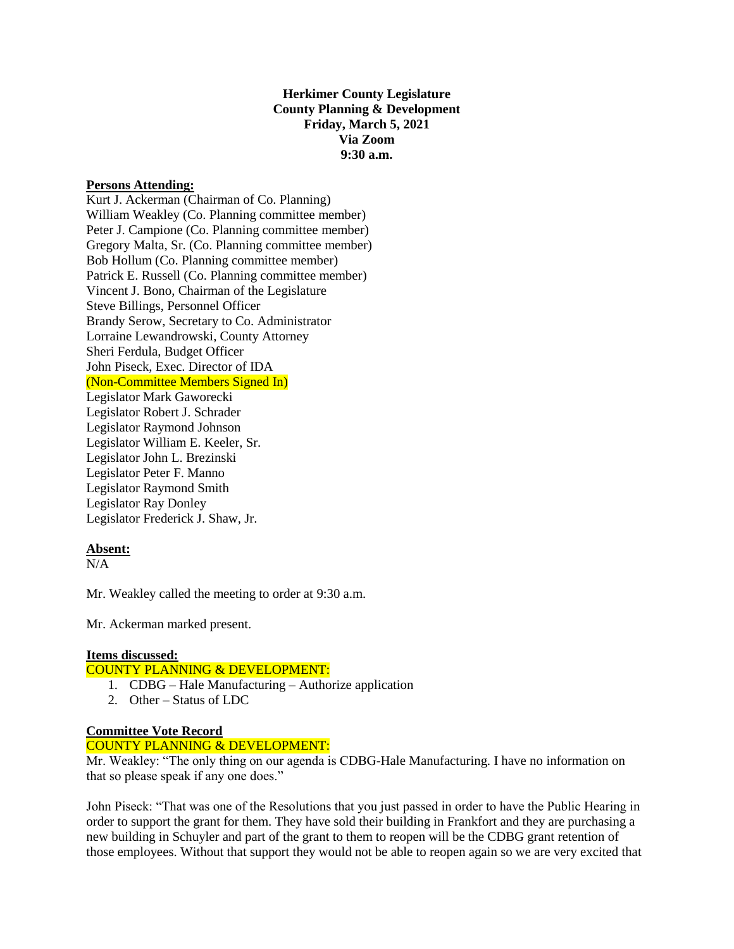# **Herkimer County Legislature County Planning & Development Friday, March 5, 2021 Via Zoom 9:30 a.m.**

#### **Persons Attending:**

Kurt J. Ackerman (Chairman of Co. Planning) William Weakley (Co. Planning committee member) Peter J. Campione (Co. Planning committee member) Gregory Malta, Sr. (Co. Planning committee member) Bob Hollum (Co. Planning committee member) Patrick E. Russell (Co. Planning committee member) Vincent J. Bono, Chairman of the Legislature Steve Billings, Personnel Officer Brandy Serow, Secretary to Co. Administrator Lorraine Lewandrowski, County Attorney Sheri Ferdula, Budget Officer John Piseck, Exec. Director of IDA (Non-Committee Members Signed In) Legislator Mark Gaworecki Legislator Robert J. Schrader Legislator Raymond Johnson Legislator William E. Keeler, Sr. Legislator John L. Brezinski Legislator Peter F. Manno Legislator Raymond Smith Legislator Ray Donley Legislator Frederick J. Shaw, Jr.

# **Absent:**

 $N/A$ 

Mr. Weakley called the meeting to order at 9:30 a.m.

Mr. Ackerman marked present.

# **Items discussed:**

# COUNTY PLANNING & DEVELOPMENT:

- 1. CDBG Hale Manufacturing Authorize application
- 2. Other Status of LDC

# **Committee Vote Record**

#### COUNTY PLANNING & DEVELOPMENT:

Mr. Weakley: "The only thing on our agenda is CDBG-Hale Manufacturing. I have no information on that so please speak if any one does."

John Piseck: "That was one of the Resolutions that you just passed in order to have the Public Hearing in order to support the grant for them. They have sold their building in Frankfort and they are purchasing a new building in Schuyler and part of the grant to them to reopen will be the CDBG grant retention of those employees. Without that support they would not be able to reopen again so we are very excited that